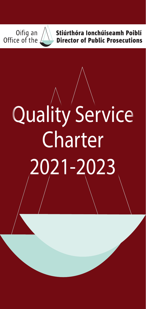Oifig an<br>Office of the



Stiúrthóra Ionchúiseamh Poiblí **Director of Public Prosecutions** 

# Quality Service **Charter** 2021-2023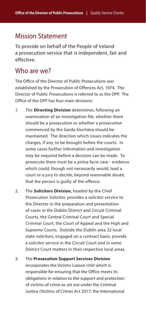## Mission Statement

To provide on behalf of the People of Ireland a prosecution service that is independent, fair and effective.

### Who are we?

The Office of the Director of Public Prosecutions was established by the Prosecution of Offences Act, 1974. The Director of Public Prosecutions is referred to as the DPP. The Office of the DPP has four main divisions:

- 1. The **Directing Division** determines, following an examination of an investigation file, whether there should be a prosecution or whether a prosecution commenced by the Garda Síochána should be maintained. The direction which issues indicates the charges, if any, to be brought before the courts. In some cases further information and investigation may be required before a decision can be made. To prosecute there must be a prima facie case - evidence which could, though not necessarily would, lead a court or a jury to decide, beyond reasonable doubt, that the person is quilty of the offence.
- 2. The **Solicitors Division**, headed by the Chief Prosecution Solicitor, provides a solicitor service to the Director in the preparation and presentation of cases in the Dublin District and Circuit Criminal Courts, the Central Criminal Court and Special Criminal Court, the Court of Appeal and the High and Supreme Courts. Outside the Dublin area 32 local state solicitors, engaged on a contract basis, provide a solicitor service in the Circuit Court and in some District Court matters in their respective local areas.

3. The **Prosecution Support Services Division**  incorporates the Victims Liaison Unit which is responsible for ensuring that the Office meets its obligations in relation to the support and protection of victims of crime as set out under the Criminal Justice (Victims of Crime) Act 2017; the International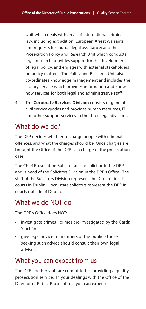Unit which deals with areas of international criminal law, including extradition, European Arrest Warrants and requests for mutual legal assistance; and the Prosecution Policy and Research Unit which conducts legal research, provides support for the development of legal policy, and engages with external stakeholders on policy matters. The Policy and Research Unit also co-ordinates knowledge management and includes the Library service which provides information and knowhow services for both legal and administrative staff.

4. The **Corporate Services Division** consists of general civil service grades and provides human resources, IT and other support services to the three legal divisions.

# What do we do?

The DPP decides whether to charge people with criminal offences, and what the charges should be. Once charges are brought the Office of the DPP is in charge of the prosecution case.

The Chief Prosecution Solicitor acts as solicitor to the DPP and is head of the Solicitors Division in the DPP's Office. The staff of the Solicitors Division represent the Director in all courts in Dublin. Local state solicitors represent the DPP in courts outside of Dublin.

# What we do NOT do

The DPP's Office does NOT:

- investigate crimes crimes are investigated by the Garda Síochána.
- give legal advice to members of the public those seeking such advice should consult their own legal advisor.

# What you can expect from us

The DPP and her staff are committed to providing a quality prosecution service. In your dealings with the Office of the Director of Public Prosecutions you can expect: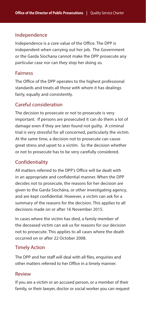#### Independence

Independence is a core value of the Office. The DPP is independent when carrying out her job. The Government or the Garda Síochana cannot make the DPP prosecute any particular case nor can they stop her doing so.

#### Fairness

The Office of the DPP operates to the highest professional standards and treats all those with whom it has dealings fairly, equally and consistently.

#### Careful consideration

The decision to prosecute or not to prosecute is very important. If persons are prosecuted it can do them a lot of damage even if they are later found not guilty. A criminal trial is very stressful for all concerned, particularly the victim. At the same time, a decision not to prosecute can cause great stress and upset to a victim. So the decision whether or not to prosecute has to be very carefully considered.

#### Confidentiality

All matters referred to the DPP's Office will be dealt with in an appropriate and confidential manner. When the DPP decides not to prosecute, the reasons for her decision are given to the Garda Síochána, or other investigating agency, and are kept confidential. However, a victim can ask for a summary of the reasons for the decision. This applies to all decisions made on or after 16 November 2015.

In cases where the victim has died, a family member of the deceased victim can ask us for reasons for our decision not to prosecute. This applies to all cases where the death occurred on or after 22 October 2008.

#### Timely Action

The DPP and her staff will deal with all files, enquiries and other matters referred to her Office in a timely manner.

#### Review

If you are a victim or an accused person, or a member of their family, or their lawyer, doctor or social worker you can request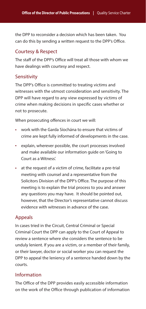the DPP to reconsider a decision which has been taken. You can do this by sending a written request to the DPP's Office.

#### Courtesy & Respect

The staff of the DPP's Office will treat all those with whom we have dealings with courtesy and respect.

#### **Sensitivity**

The DPP's Office is committed to treating victims and witnesses with the utmost consideration and sensitivity. The DPP will have regard to any view expressed by victims of crime when making decisions in specific cases whether or not to prosecute.

When prosecuting offences in court we will:

- work with the Garda Síochána to ensure that victims of crime are kept fully informed of developments in the case.
- explain, wherever possible, the court processes involved and make available our information guide on 'Going to Court as a Witness'.
- at the request of a victim of crime, facilitate a pre-trial meeting with counsel and a representative from the Solicitors Division of the DPP's Office. The purpose of this meeting is to explain the trial process to you and answer any questions you may have. It should be pointed out, however, that the Director's representative cannot discuss evidence with witnesses in advance of the case.

#### Appeals

In cases tried in the Circuit, Central Criminal or Special Criminal Court the DPP can apply to the Court of Appeal to review a sentence where she considers the sentence to be unduly lenient. If you are a victim, or a member of their family, or their lawyer, doctor or social worker you can request the DPP to appeal the leniency of a sentence handed down by the courts.

#### Information

The Office of the DPP provides easily accessible information on the work of the Office through publication of information